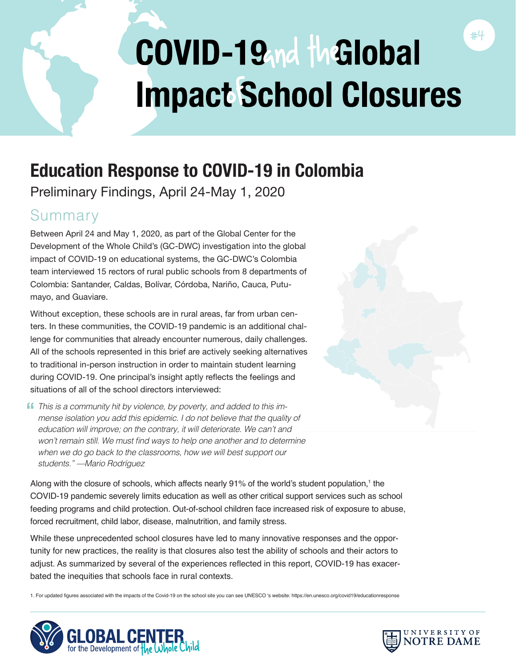# COVID-19<sub>nd</sub> the lobal **Impact School Closures**

## **Education Response to COVID-19 in Colombia**

Preliminary Findings, April 24-May 1, 2020

### Summary

Between April 24 and May 1, 2020, as part of the Global Center for the Development of the Whole Child's (GC-DWC) investigation into the global impact of COVID-19 on educational systems, the GC-DWC's Colombia team interviewed 15 rectors of rural public schools from 8 departments of Colombia: Santander, Caldas, Bolívar, Córdoba, Nariño, Cauca, Putumayo, and Guaviare.

Without exception, these schools are in rural areas, far from urban centers. In these communities, the COVID-19 pandemic is an additional challenge for communities that already encounter numerous, daily challenges. All of the schools represented in this brief are actively seeking alternatives to traditional in-person instruction in order to maintain student learning during COVID-19. One principal's insight aptly reflects the feelings and situations of all of the school directors interviewed:

**f** This is a community hit by violence, by poverty, and added to this im-<br>mense isolation you add this epidemic. I do not believe that the quality *mense isolation you add this epidemic. I do not believe that the quality of education will improve; on the contrary, it will deteriorate. We can't and*  won't remain still. We must find ways to help one another and to determine *when we do go back to the classrooms, how we will best support our students." —Mario Rodríguez*

Along with the closure of schools, which affects nearly 91% of the world's student population,1 the COVID-19 pandemic severely limits education as well as other critical support services such as school feeding programs and child protection. Out-of-school children face increased risk of exposure to abuse, forced recruitment, child labor, disease, malnutrition, and family stress.

While these unprecedented school closures have led to many innovative responses and the opportunity for new practices, the reality is that closures also test the ability of schools and their actors to adjust. As summarized by several of the experiences reflected in this report, COVID-19 has exacerbated the inequities that schools face in rural contexts.

1. For updated figures associated with the impacts of the Covid-19 on the school site you can see UNESCO 's website: https://en.unesco.org/covid19/educationresponse



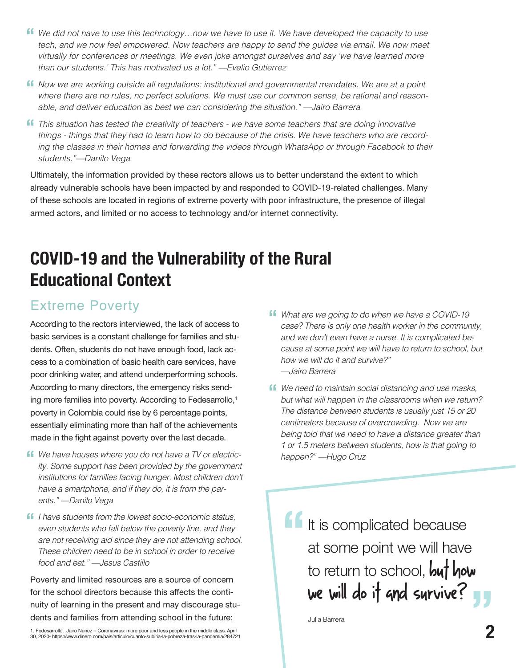- **If** We did not have to use this technology...now we have to use it. We have developed the capacity to use **"**<br>Tech and we now feel empowered. Now teachers are hanny to send the quides via email. We now meet *tech, and we now feel empowered. Now teachers are happy to send the guides via email. We now meet virtually for conferences or meetings. We even joke amongst ourselves and say 'we have learned more than our students.' This has motivated us a lot." —Evelio Gutierrez*
- *Now we are working outside all regulations: institutional and governmental mandates. We are at a point*  **"** *where there are no rules, no perfect solutions. We must use our common sense, be rational and reasonable, and deliver education as best we can considering the situation." —Jairo Barrera*
- **f** This situation has tested the creativity of teachers we have some teachers that are doing innovative things things that they had to learn how to do because of the crisis. We have teachers who are reco *things - things that they had to learn how to do because of the crisis. We have teachers who are recording the classes in their homes and forwarding the videos through WhatsApp or through Facebook to their students."—Danilo Vega*

Ultimately, the information provided by these rectors allows us to better understand the extent to which already vulnerable schools have been impacted by and responded to COVID-19-related challenges. Many of these schools are located in regions of extreme poverty with poor infrastructure, the presence of illegal armed actors, and limited or no access to technology and/or internet connectivity.

## **COVID-19 and the Vulnerability of the Rural Educational Context**

#### Extreme Poverty

According to the rectors interviewed, the lack of access to basic services is a constant challenge for families and students. Often, students do not have enough food, lack access to a combination of basic health care services, have poor drinking water, and attend underperforming schools. According to many directors, the emergency risks sending more families into poverty. According to Fedesarrollo,<sup>1</sup> poverty in Colombia could rise by 6 percentage points, essentially eliminating more than half of the achievements made in the fight against poverty over the last decade.

- **f** We have houses where you do not have a TV or electric-<br>itv. Some support has been provided by the government *ity. Some support has been provided by the government institutions for families facing hunger. Most children don't have a smartphone, and if they do, it is from the parents." —Danilo Vega*
- *I**I have students from the lowest socio-economic status,* even students who fall below the poverty line, and they *even students who fall below the poverty line, and they are not receiving aid since they are not attending school. These children need to be in school in order to receive food and eat." —Jesus Castillo*

Poverty and limited resources are a source of concern for the school directors because this affects the continuity of learning in the present and may discourage students and families from attending school in the future:

1. Fedesarrollo. Jairo Nuñez – Coronavirus: more poor and less people in the middle class. April 30, 2020- https://www.dinero.com/pais/articulo/cuanto-subiria-la-pobreza-tras-la-pandemia/284721

- **f** What are we going to do when we have a COVID-19 case? There is only one health worker in the communi *case? There is only one health worker in the community, and we don't even have a nurse. It is complicated because at some point we will have to return to school, but how we will do it and survive?" —Jairo Barrera*
- **f** We need to maintain social distancing and use masks,<br>but what will happen in the classrooms when we return *but what will happen in the classrooms when we return? The distance between students is usually just 15 or 20 centimeters because of overcrowding. Now we are being told that we need to have a distance greater than 1 or 1.5 meters between students, how is that going to happen?" —Hugo Cruz*

It is complicated because at some point we will have to return to school,  $\mathbf{b}$ ut how we will do it and survive? **"**

Julia Barrera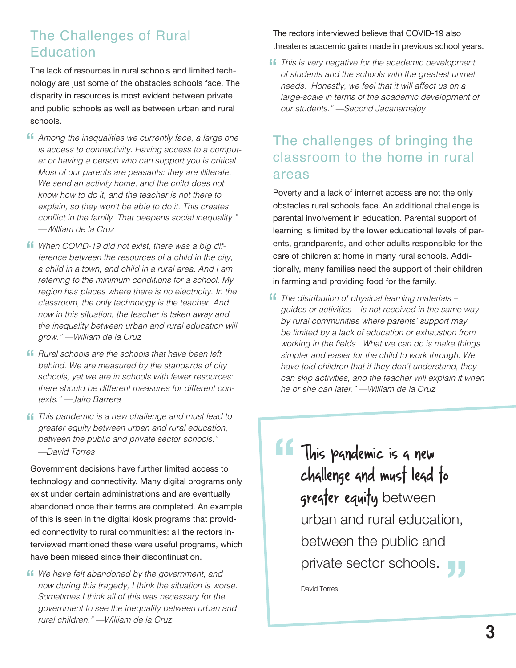#### The Challenges of Rural **Education**

The lack of resources in rural schools and limited technology are just some of the obstacles schools face. The disparity in resources is most evident between private and public schools as well as between urban and rural schools.

- **Among the inequalities we currently face, a large one<br>
is access to connectivity Having access to a comput***is access to connectivity. Having access to a computer or having a person who can support you is critical. Most of our parents are peasants: they are illiterate. We send an activity home, and the child does not know how to do it, and the teacher is not there to explain, so they won't be able to do it. This creates*  conflict in the family. That deepens social inequality." *—William de la Cruz*
- **f** When COVID-19 did not exist, there was a big difference between the resources of a child in the circle *ference between the resources of a child in the city, a child in a town, and child in a rural area. And I am referring to the minimum conditions for a school. My region has places where there is no electricity. In the classroom, the only technology is the teacher. And now in this situation, the teacher is taken away and the inequality between urban and rural education will grow." —William de la Cruz*
- **f** Rural schools are the schools that have been left behind. We are measured by the standards of cit *behind. We are measured by the standards of city schools, yet we are in schools with fewer resources: there should be different measures for different contexts." —Jairo Barrera*
- **f** *This pandemic is a new challenge and must lead to greater equity between urban and rural education, greater equity between urban and rural education, between the public and private sector schools." —David Torres*

Government decisions have further limited access to technology and connectivity. Many digital programs only exist under certain administrations and are eventually abandoned once their terms are completed. An example of this is seen in the digital kiosk programs that provided connectivity to rural communities: all the rectors interviewed mentioned these were useful programs, which have been missed since their discontinuation.

**f** We have felt abandoned by the government, and now during this tragedy. I think the situation is wo *now during this tragedy, I think the situation is worse. Sometimes I think all of this was necessary for the government to see the inequality between urban and rural children." —William de la Cruz* 

#### The rectors interviewed believe that COVID-19 also threatens academic gains made in previous school years.

**f** This is very negative for the academic development of students and the schools with the greatest unmet *of students and the schools with the greatest unmet needs. Honestly, we feel that it will affect us on a large-scale in terms of the academic development of our students." —Second Jacanamejoy* 

#### The challenges of bringing the classroom to the home in rural areas

Poverty and a lack of internet access are not the only obstacles rural schools face. An additional challenge is parental involvement in education. Parental support of learning is limited by the lower educational levels of parents, grandparents, and other adults responsible for the care of children at home in many rural schools. Additionally, many families need the support of their children in farming and providing food for the family.

**f** The distribution of physical learning materials –<br>quides or activities – is not received in the same *guides or activities – is not received in the same way by rural communities where parents' support may be limited by a lack of education or exhaustion from*  working in the fields. What we can do is make things *simpler and easier for the child to work through. We have told children that if they don't understand, they can skip activities, and the teacher will explain it when he or she can later." —William de la Cruz* 

This pandemic is a new challenge and must lead to greater equity between urban and rural education, between the public and private sector schools. **" "**

David Torres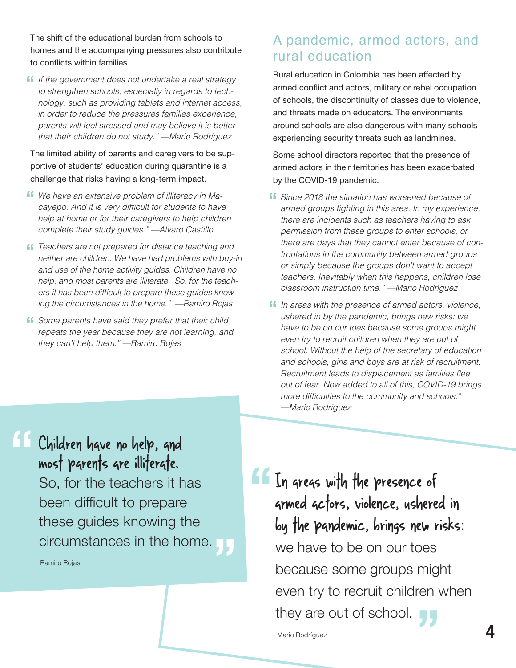The shift of the educational burden from schools to homes and the accompanying pressures also contribute to conflicts within families

**If** If the government does not undertake a real strategy to strengthen schools, especially in regards to tech*to strengthen schools, especially in regards to technology, such as providing tablets and internet access, in order to reduce the pressures families experience, parents will feel stressed and may believe it is better that their children do not study." —Mario Rodríguez* 

The limited ability of parents and caregivers to be supportive of students' education during quarantine is a challenge that risks having a long-term impact.

- **f** We have an extensive problem of illiteracy in Ma-<br>cavepo. And it is very difficult for students to have cayepo. And it is very difficult for students to have *help at home or for their caregivers to help children complete their study guides." —Alvaro Castillo*
- **ff** Teachers are not prepared for distance teaching and neither are children. We have had problems with buy*neither are children. We have had problems with buy-in and use of the home activity guides. Children have no help, and most parents are illiterate. So, for the teach*ers it has been difficult to prepare these guides know*ing the circumstances in the home." —Ramiro Rojas*
- **f** Some parents have said they prefer that their child repeats the vear because they are not learning, and *repeats the year because they are not learning, and they can't help them." —Ramiro Rojas*

#### A pandemic, armed actors, and rural education

Rural education in Colombia has been affected by armed conflict and actors, military or rebel occupation of schools, the discontinuity of classes due to violence, and threats made on educators. The environments around schools are also dangerous with many schools experiencing security threats such as landmines.

Some school directors reported that the presence of armed actors in their territories has been exacerbated by the COVID-19 pandemic.

- **f** Since 2018 the situation has worsened because of armed aroups fighting in this area. In my experience armed groups fighting in this area. In my experience, *there are incidents such as teachers having to ask permission from these groups to enter schools, or there are days that they cannot enter because of confrontations in the community between armed groups or simply because the groups don't want to accept teachers. Inevitably when this happens, children lose classroom instruction time." —Mario Rodríguez*
- **If** In areas with the presence of armed actors, violence, ushered in by the pandemic. brings new risks: we *ushered in by the pandemic, brings new risks: we have to be on our toes because some groups might even try to recruit children when they are out of school. Without the help of the secretary of education and schools, girls and boys are at risk of recruitment.*  Recruitment leads to displacement as families flee *out of fear. Now added to all of this, COVID-19 brings*  more difficulties to the community and schools." *—Mario Rodríguez*

Children have no help, and most parents are illiterate. So, for the teachers it has been difficult to prepare these guides knowing the circumstances in the home. **" "**

Ramiro Rojas

In areas with the presence of armed actors, violence, ushered in by the pandemic, brings new risks: we have to be on our toes because some groups might even try to recruit children when even try to recruit children \<br>they are out of school. **"**

Mario Rodríguez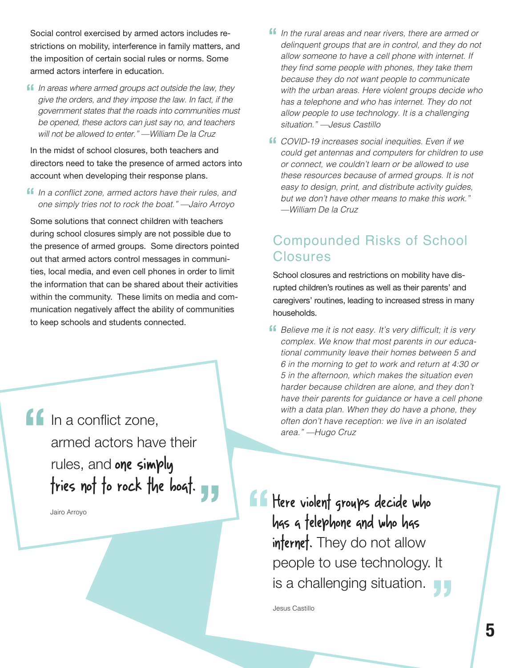Social control exercised by armed actors includes restrictions on mobility, interference in family matters, and the imposition of certain social rules or norms. Some armed actors interfere in education.

**If** In areas where armed groups act outside the law, they aive the orders, and they impose the law. In fact, if the *give the orders, and they impose the law. In fact, if the government states that the roads into communities must be opened, these actors can just say no, and teachers will not be allowed to enter." —William De la Cruz* 

In the midst of school closures, both teachers and directors need to take the presence of armed actors into account when developing their response plans.

In a conflict zone, armed actors have their rules, and **"** *one simply tries not to rock the boat." —Jairo Arroyo* 

Some solutions that connect children with teachers during school closures simply are not possible due to the presence of armed groups. Some directors pointed out that armed actors control messages in communities, local media, and even cell phones in order to limit the information that can be shared about their activities within the community. These limits on media and communication negatively affect the ability of communities to keep schools and students connected.

In a conflict zone, armed actors have their rules, and one simply tries not to rock the boat. Here violent groups decide who fries not to rock the bogt.

Jairo Arroyo

**"**

- **If** In the rural areas and near rivers, there are armed or<br>
delinguent groups that are in control, and they do not *delinquent groups that are in control, and they do not allow someone to have a cell phone with internet. If*  they find some people with phones, they take them *because they do not want people to communicate with the urban areas. Here violent groups decide who has a telephone and who has internet. They do not allow people to use technology. It is a challenging situation." —Jesus Castillo*
- **ff** COVID-19 increases social inequities. Even if we could get antennas and computers for children to *could get antennas and computers for children to use or connect, we couldn't learn or be allowed to use these resources because of armed groups. It is not easy to design, print, and distribute activity guides, but we don't have other means to make this work." —William De la Cruz*

#### Compounded Risks of School **Closures**

School closures and restrictions on mobility have disrupted children's routines as well as their parents' and caregivers' routines, leading to increased stress in many households.

**f** Believe me it is not easy. It's very difficult; it is very complex We know that most parents in our educa*complex. We know that most parents in our educational community leave their homes between 5 and 6 in the morning to get to work and return at 4:30 or 5 in the afternoon, which makes the situation even harder because children are alone, and they don't have their parents for guidance or have a cell phone with a data plan. When they do have a phone, they often don't have reception: we live in an isolated area." —Hugo Cruz* 

has a telephone and who has internet. They do not allow people to use technology. It **"** is a challenging situation. **"**

Jesus Castillo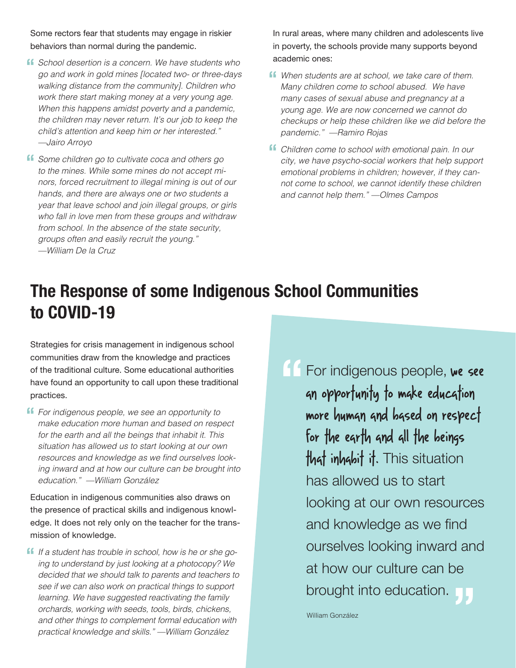Some rectors fear that students may engage in riskier behaviors than normal during the pandemic.

- **ff** School desertion is a concern. We have students who and work in gold mines flocated two- or three-days *go and work in gold mines [located two- or three-days walking distance from the community]. Children who work there start making money at a very young age. When this happens amidst poverty and a pandemic, the children may never return. It's our job to keep the child's attention and keep him or her interested." —Jairo Arroyo*
- **f** Some children go to cultivate coca and others go<br>to the mines. While some mines do not accept mi*to the mines. While some mines do not accept minors, forced recruitment to illegal mining is out of our hands, and there are always one or two students a year that leave school and join illegal groups, or girls who fall in love men from these groups and withdraw from school. In the absence of the state security, groups often and easily recruit the young." —William De la Cruz*

In rural areas, where many children and adolescents live in poverty, the schools provide many supports beyond academic ones:

- **f** When students are at school, we take care of them.<br>Many children come to school abused. We have *Many children come to school abused. We have many cases of sexual abuse and pregnancy at a young age. We are now concerned we cannot do checkups or help these children like we did before the pandemic." —Ramiro Rojas*
- **f** Children come to school with emotional pain. In our city we have psycho-social workers that help suppo *city, we have psycho-social workers that help support emotional problems in children; however, if they cannot come to school, we cannot identify these children and cannot help them." —Olmes Campos*

## **The Response of some Indigenous School Communities to COVID-19**

Strategies for crisis management in indigenous school communities draw from the knowledge and practices of the traditional culture. Some educational authorities have found an opportunity to call upon these traditional practices.

**f** For indigenous people, we see an opportunity to make education more human and based on resp *make education more human and based on respect for the earth and all the beings that inhabit it. This situation has allowed us to start looking at our own*  resources and knowledge as we find ourselves look*ing inward and at how our culture can be brought into education." —William González* 

Education in indigenous communities also draws on the presence of practical skills and indigenous knowledge. It does not rely only on the teacher for the transmission of knowledge.

**If** If a student has trouble in school, how is he or she go-<br>ing to understand by just looking at a photocopy? We *ing to understand by just looking at a photocopy? We decided that we should talk to parents and teachers to see if we can also work on practical things to support learning. We have suggested reactivating the family orchards, working with seeds, tools, birds, chickens, and other things to complement formal education with practical knowledge and skills." —William González* 

For indigenous people, we see<br> **41 opportunity to make education** an opportunity to make education more human and based on respect for the earth and all the beings that inhabit it. This situation has allowed us to start looking at our own resources and knowledge as we find ourselves looking inward and at how our culture can be brought into education. e<br>JJ

William González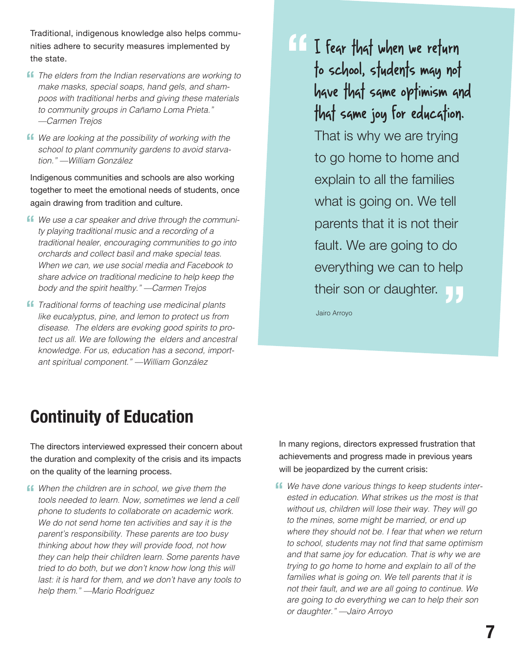Traditional, indigenous knowledge also helps communities adhere to security measures implemented by the state.

- **f** The elders from the Indian reservations are working to make masks, special soaps, hand gels, and sham*make masks, special soaps, hand gels, and shampoos with traditional herbs and giving these materials to community groups in Cañamo Loma Prieta." —Carmen Trejos*
- **f** We are looking at the possibility of working with the school to plant community gardens to avoid starya*school to plant community gardens to avoid starvation." —William González*

Indigenous communities and schools are also working together to meet the emotional needs of students, once again drawing from tradition and culture.

- *We use a car speaker and drive through the communi-***"** *ty playing traditional music and a recording of a traditional healer, encouraging communities to go into orchards and collect basil and make special teas. When we can, we use social media and Facebook to share advice on traditional medicine to help keep the body and the spirit healthy." —Carmen Trejos*
- **f** Traditional forms of teaching use medicinal plants<br>like eucalyptus, pine, and lemon to protect us from *like eucalyptus, pine, and lemon to protect us from disease. The elders are evoking good spirits to protect us all. We are following the elders and ancestral knowledge. For us, education has a second, important spiritual component." —William González*

**"**I fear that when we return to school, students may not have that same optimism and that same joy for education. That is why we are trying to go home to home and explain to all the families what is going on. We tell parents that it is not their fault. We are going to do everything we can to help their son or daughter. **"**

Jairo Arroyo

## **Continuity of Education**

The directors interviewed expressed their concern about the duration and complexity of the crisis and its impacts on the quality of the learning process.

**"** When the children are in school, we give them the **"**<br> **"** tools needed to learn. Now, sometimes we lend a cell *tools needed to learn. Now, sometimes we lend a cell phone to students to collaborate on academic work. We do not send home ten activities and say it is the parent's responsibility. These parents are too busy thinking about how they will provide food, not how they can help their children learn. Some parents have tried to do both, but we don't know how long this will*  last: it is hard for them, and we don't have any tools to *help them." —Mario Rodríguez*

In many regions, directors expressed frustration that achievements and progress made in previous years will be jeopardized by the current crisis:

*We have done various things to keep students interested in education. What strikes us the most is that without us, children will lose their way. They will go to the mines, some might be married, or end up where they should not be. I fear that when we return*  to school, students may not find that same optimism *and that same joy for education. That is why we are trying to go home to home and explain to all of the families what is going on. We tell parents that it is not their fault, and we are all going to continue. We are going to do everything we can to help their son or daughter." —Jairo Arroyo*